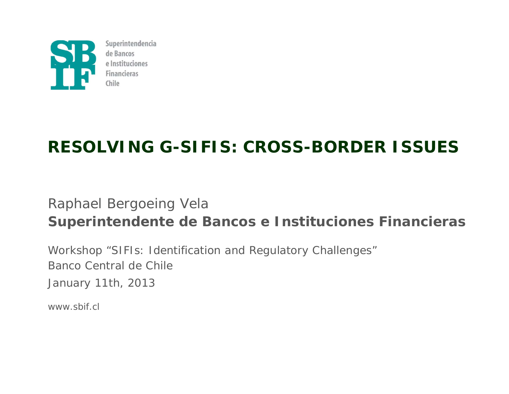

Superintendencia de Bancos e Instituciones **Financieras** Chile

# **RESOLVING G-SIFIS: CROSS-BORDER ISSUES**

### *Raphael Bergoeing Vela Superintendente de Bancos e Instituciones Financieras*

*Workshop "SIFIs: Identification and Regulatory Challenges" Banco Central de ChileJanuary 11th, 2013*

*www.sbif.cl*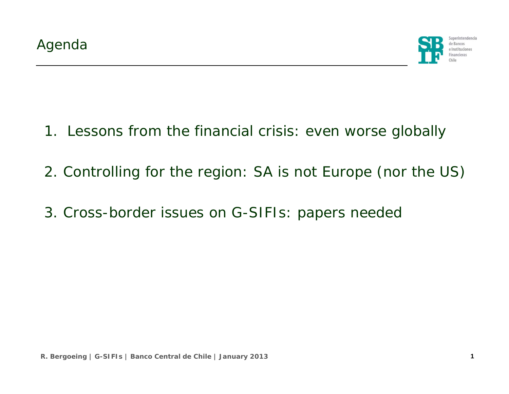

- 1. Lessons from the financial crisis: even worse globally
- 2. Controlling for the region: SA is not Europe (nor the US)
- 3. Cross-border issues on G-SIFIs: papers needed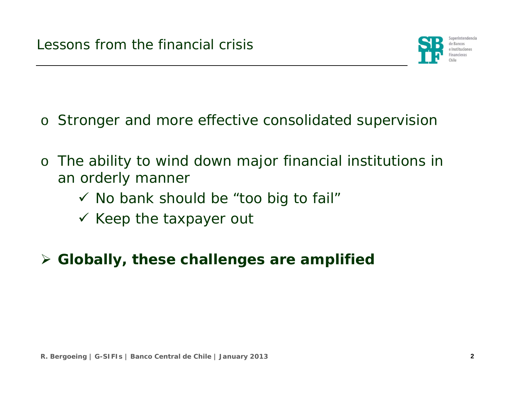

- o Stronger and more effective consolidated supervision
- o The ability to wind down major financial institutions in an orderly manner
	- $\checkmark$  No bank should be "too big to fail"
	- $\checkmark$  Keep the taxpayer out
- ¾ **Globally, these challenges are amplified**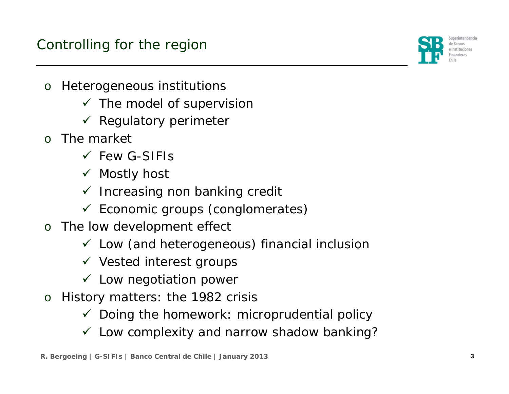

- o Heterogeneous institutions
	- $\checkmark$  The model of supervision
	- $\checkmark$  Regulatory perimeter
- o The market
	- $\checkmark$  Few G-SIFIs
	- √ Mostly host
	- $\checkmark$  Increasing non banking credit
	- $\checkmark$  Economic groups (conglomerates)
- o The low development effect
	- $\checkmark$  Low (and heterogeneous) financial inclusior
	- $\checkmark$  Vested interest groups
	- $\checkmark$  Low negotiation power
- o History matters: the 1982 crisis
	- $\checkmark$  Doing the homework: microprudential policy
	- $\checkmark$  Low complexity and narrow shadow banking?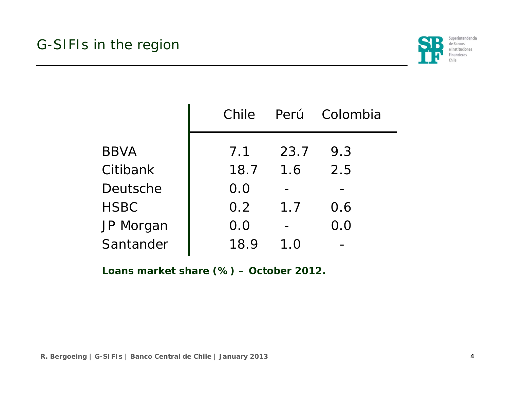

|             | Chile | Perú | Colombia |  |
|-------------|-------|------|----------|--|
| <b>BBVA</b> | 7.1   | 23.7 | 9.3      |  |
| Citibank    | 18.7  | 1.6  | 2.5      |  |
| Deutsche    | 0.0   |      |          |  |
| <b>HSBC</b> | 0.2   | 1.7  | 0.6      |  |
| JP Morgan   | 0.0   |      | 0.0      |  |
| Santander   | 18.9  | 1.0  |          |  |
|             |       |      |          |  |

**Loans market share (%) – October 2012.**

**R. Bergoeing | G-SIFIs | Banco Central de Chile | January 2013**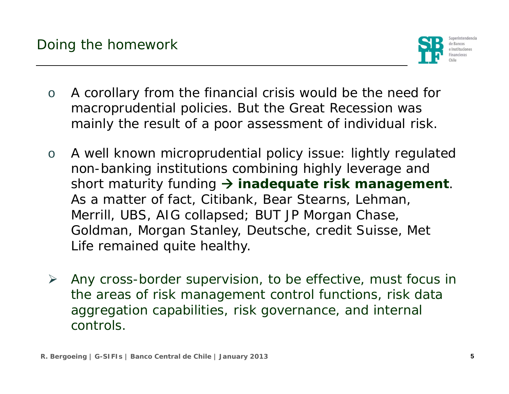

- o A corollary from the financial crisis would be the need for macroprudential policies. But the Great Recession was mainly the result of a poor assessment of individual risk.
- o A well known microprudential policy issue: lightly regulated non-banking institutions combining highly leverage and short maturity funding  $\rightarrow$  **inadequate risk management**. As a matter of fact, Citibank, Bear Stearns, Lehman, Merrill, UBS, AIG collapsed; BUT JP Morgan Chase, Goldman, Morgan Stanley, Deutsche, credit Suisse, Met Life remained quite healthy.
- $\blacktriangleright$  Any cross-border supervision, to be effective, must focus in the areas of risk management control functions, risk data aggregation capabilities, risk governance, and internal controls.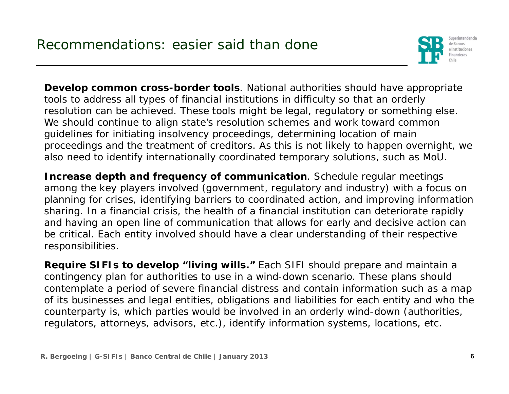

*Develop common cross-border tools.* National authorities should have appropriate tools to address all types of financial institutions in difficulty so that an orderly resolution can be achieved. These tools might be legal, regulatory or something else. We should continue to align state's resolution schemes and work toward common guidelines for initiating insolvency proceedings, determining location of main proceedings and the treatment of creditors. As this is not likely to happen overnight, we also need to identify internationally coordinated temporary solutions, such as MoU.

*Increase depth and frequency of communication.* Schedule regular meetings among the key players involved (government, regulatory and industry) with a focus on planning for crises, identifying barriers to coordinated action, and improving information sharing. In a financial crisis, the health of a financial institution can deteriorate rapidly and having an open line of communication that allows for early and decisive action can be critical. Each entity involved should have a clear understanding of their respective responsibilities.

*Require SIFIs to develop "living wills."* Each SIFI should prepare and maintain a contingency plan for authorities to use in a wind-down scenario. These plans should contemplate a period of severe financial distress and contain information such as a map of its businesses and legal entities, obligations and liabilities for each entity and who the counterparty is, which parties would be involved in an orderly wind-down (authorities, regulators, attorneys, advisors, etc.), identify information systems, locations, etc.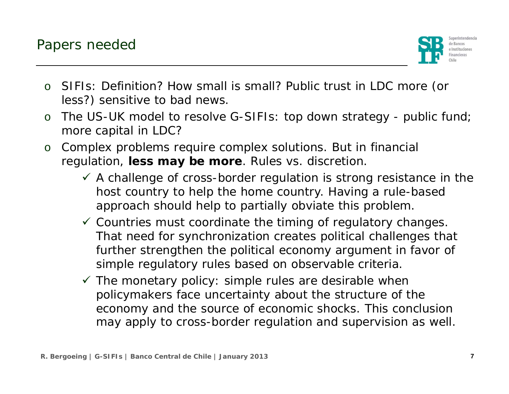Papers needed



- o SIFIs: Definition? How small is small? Public trust in LDC more (or less?) sensitive to bad news.
- $\Omega$  The US-UK model to resolve G-SIFIs: top down strategy - public fund; more capital in LDC?
- o Complex problems require complex solutions. But in financial regulation, **less may be more**. Rules vs. discretion.
	- $\checkmark$  A challenge of cross-border regulation is strong resistance in the host country to help the home country. Having a rule-based approach should help to partially obviate this problem.
	- $\checkmark$  Countries must coordinate the timing of regulatory changes. That need for synchronization creates political challenges that further strengthen the political economy argument in favor of simple regulatory rules based on observable criteria.
	- $\checkmark$  The monetary policy: simple rules are desirable when policymakers face uncertainty about the structure of the economy and the source of economic shocks. This conclusion may apply to cross-border regulation and supervision as well.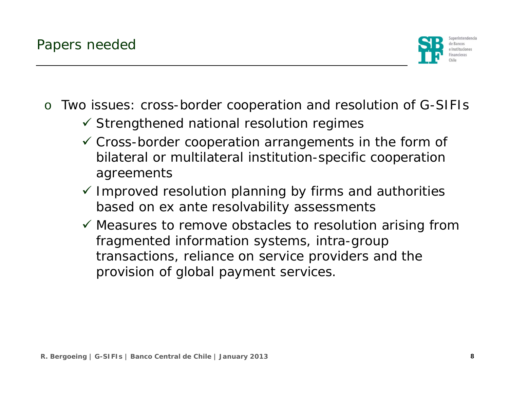

- o Two issues: cross-border cooperation and resolution of G-SIFIs
	- $\checkmark$  Strengthened national resolution regimes
	- $\checkmark$  Cross-border cooperation arrangements in the form of bilateral or multilateral institution-specific cooperation agreements
	- $\checkmark$  Improved resolution planning by firms and authorities based on *ex ante* resolvability assessments
	- $\checkmark$  Measures to remove obstacles to resolution arising from fragmented information systems, intra-group transactions, reliance on service providers and the provision of global payment services.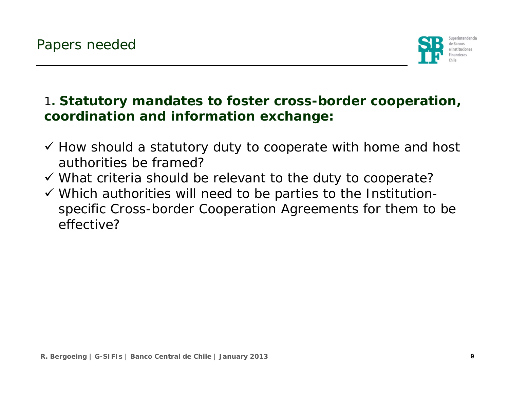

#### <sup>1</sup>**. Statutory mandates to foster cross-border cooperation, coordination and information exchange:**

- $\checkmark$  How should a statutory duty to cooperate with home and host authorities be framed?
- $\checkmark$  What criteria should be relevant to the duty to cooperate?
- $\checkmark$  Which authorities will need to be parties to the Institutionspecific Cross-border Cooperation Agreements for them to be effective?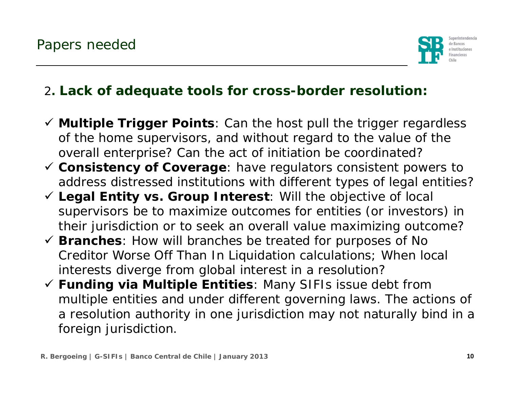

#### <sup>2</sup>**. Lack of adequate tools for cross-border resolution:**

- 9 *Multiple Trigger Points:* Can the host pull the trigger regardless of the home supervisors, and without regard to the value of the overall enterprise? Can the act of initiation be coordinated?
- 9 *Consistency of Coverage: have* regulators consistent powers to address distressed institutions with different types of legal entities?
- 9 *Legal Entity vs. Group Interest:* Will the objective of local supervisors be to maximize outcomes for entities (or investors) in their jurisdiction or to seek an overall value maximizing outcome?
- 9 *Branches:* How will branches be treated for purposes of No Creditor Worse Off Than In Liquidation calculations; When local interests diverge from global interest in a resolution?
- 9 *Funding via Multiple Entities:* Many SIFIs issue debt from multiple entities and under different governing laws. The actions of a resolution authority in one jurisdiction may not naturally bind in a foreign jurisdiction.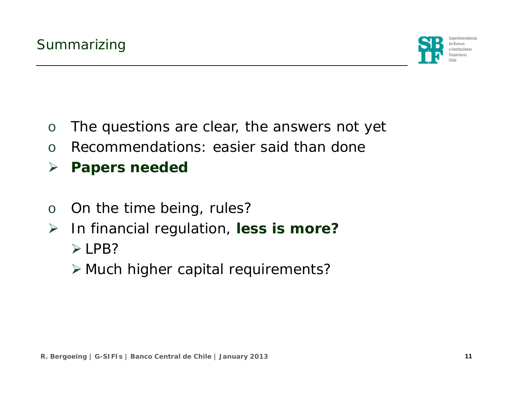

- oThe questions are clear, the answers not yet
- oRecommendations: easier said than done
- ¾**Papers needed**
- oOn the time being, rules?
- ¾ In financial regulation, **less is more?**   $\triangleright$  LPB?
	- ¾ Much higher capital requirements?